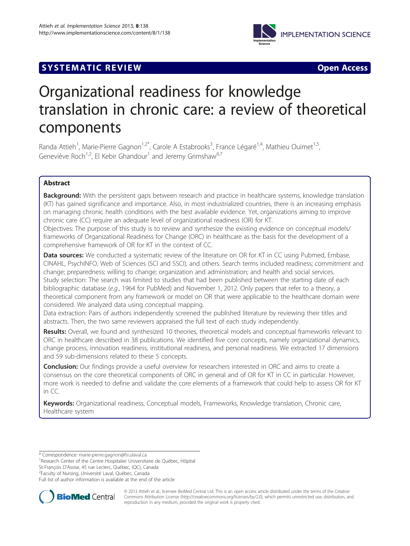

# **SYSTEMATIC REVIEW ACCESS**

# Organizational readiness for knowledge translation in chronic care: a review of theoretical components

Randa Attieh<sup>1</sup>, Marie-Pierre Gagnon<sup>1,2\*</sup>, Carole A Estabrooks<sup>3</sup>, France Légaré<sup>1,4</sup>, Mathieu Ouimet<sup>1,5</sup>, Geneviève Roch<sup>1,2</sup>, El Kebir Ghandour<sup>1</sup> and Jeremy Grimshaw<sup>6,7</sup>

# Abstract

Background: With the persistent gaps between research and practice in healthcare systems, knowledge translation (KT) has gained significance and importance. Also, in most industrialized countries, there is an increasing emphasis on managing chronic health conditions with the best available evidence. Yet, organizations aiming to improve chronic care (CC) require an adequate level of organizational readiness (OR) for KT.

Objectives: The purpose of this study is to review and synthesize the existing evidence on conceptual models/ frameworks of Organizational Readiness for Change (ORC) in healthcare as the basis for the development of a comprehensive framework of OR for KT in the context of CC.

Data sources: We conducted a systematic review of the literature on OR for KT in CC using Pubmed, Embase, CINAHL, PsychINFO, Web of Sciences (SCI and SSCI), and others. Search terms included readiness; commitment and change; preparedness; willing to change; organization and administration; and health and social services. Study selection: The search was limited to studies that had been published between the starting date of each bibliographic database (e.g., 1964 for PubMed) and November 1, 2012. Only papers that refer to a theory, a theoretical component from any framework or model on OR that were applicable to the healthcare domain were considered. We analyzed data using conceptual mapping.

Data extraction: Pairs of authors independently screened the published literature by reviewing their titles and abstracts. Then, the two same reviewers appraised the full text of each study independently.

Results: Overall, we found and synthesized 10 theories, theoretical models and conceptual frameworks relevant to ORC in healthcare described in 38 publications. We identified five core concepts, namely organizational dynamics, change process, innovation readiness, institutional readiness, and personal readiness. We extracted 17 dimensions and 59 sub-dimensions related to these 5 concepts.

**Conclusion:** Our findings provide a useful overview for researchers interested in ORC and aims to create a consensus on the core theoretical components of ORC in general and of OR for KT in CC in particular. However, more work is needed to define and validate the core elements of a framework that could help to assess OR for KT in CC.

Keywords: Organizational readiness, Conceptual models, Frameworks, Knowledge translation, Chronic care, Healthcare system

St-François D'Assise, 45 rue Leclerc, Québec, (QC), Canada <sup>2</sup>

<sup>2</sup>Faculty of Nursing, Université Laval, Québec, Canada

Full list of author information is available at the end of the article



© 2013 Attieh et al.; licensee BioMed Central Ltd. This is an open access article distributed under the terms of the Creative Commons Attribution License [\(http://creativecommons.org/licenses/by/2.0\)](http://creativecommons.org/licenses/by/2.0), which permits unrestricted use, distribution, and reproduction in any medium, provided the original work is properly cited.

<sup>\*</sup> Correspondence: [marie-pierre.gagnon@fsi.ulaval.ca](mailto:marie-pierre.gagnon@fsi.ulaval.ca) <sup>1</sup>

<sup>&</sup>lt;sup>1</sup> Research Center of the Centre Hospitalier Universitaire de Québec, Hôpital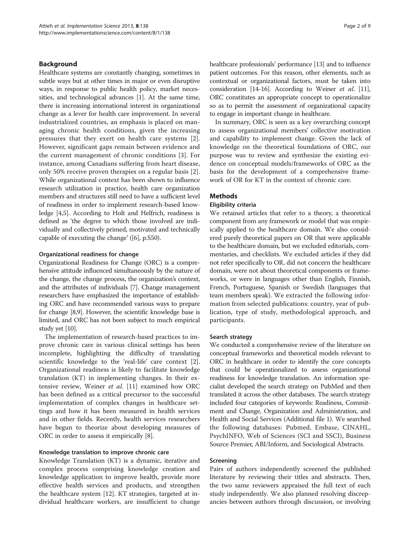# Background

Healthcare systems are constantly changing, sometimes in subtle ways but at other times in major or even disruptive ways, in response to public health policy, market necessities, and technological advances [\[1](#page-7-0)]. At the same time, there is increasing international interest in organizational change as a lever for health care improvement. In several industrialized countries, an emphasis is placed on managing chronic health conditions, given the increasing pressures that they exert on health care systems [\[2](#page-7-0)]. However, significant gaps remain between evidence and the current management of chronic conditions [\[3](#page-7-0)]. For instance, among Canadians suffering from heart disease, only 50% receive proven therapies on a regular basis [[2](#page-7-0)]. While organizational context has been shown to influence research utilization in practice, health care organization members and structures still need to have a sufficient level of readiness in order to implement research-based knowledge [[4,5](#page-7-0)]. According to Holt and Helfrich, readiness is defined as 'the degree to which those involved are individually and collectively primed, motivated and technically capable of executing the change' ([[6](#page-7-0)], p.S50).

#### Organizational readiness for change

Organizational Readiness for Change (ORC) is a comprehensive attitude influenced simultaneously by the nature of the change, the change process, the organization's context, and the attributes of individuals [\[7\]](#page-7-0). Change management researchers have emphasized the importance of establishing ORC and have recommended various ways to prepare for change [\[8,9\]](#page-7-0). However, the scientific knowledge base is limited, and ORC has not been subject to much empirical study yet [[10](#page-7-0)].

The implementation of research-based practices to improve chronic care in various clinical settings has been incomplete, highlighting the difficulty of translating scientific knowledge to the 'real-life' care context [\[2](#page-7-0)]. Organizational readiness is likely to facilitate knowledge translation (KT) in implementing changes. In their extensive review, Weiner et al. [\[11\]](#page-7-0) examined how ORC has been defined as a critical precursor to the successful implementation of complex changes in healthcare settings and how it has been measured in health services and in other fields. Recently, health services researchers have begun to theorize about developing measures of ORC in order to assess it empirically [[8\]](#page-7-0).

#### Knowledge translation to improve chronic care

Knowledge Translation (KT) is a dynamic, iterative and complex process comprising knowledge creation and knowledge application to improve health, provide more effective health services and products, and strengthen the healthcare system [[12\]](#page-7-0). KT strategies, targeted at individual healthcare workers, are insufficient to change healthcare professionals' performance [\[13\]](#page-7-0) and to influence patient outcomes. For this reason, other elements, such as contextual or organizational factors, must be taken into consideration [\[14-16\]](#page-7-0). According to Weiner et al. [\[11](#page-7-0)], ORC constitutes an appropriate concept to operationalize so as to permit the assessment of organizational capacity to engage in important change in healthcare.

In summary, ORC is seen as a key overarching concept to assess organizational members' collective motivation and capability to implement change. Given the lack of knowledge on the theoretical foundations of ORC, our purpose was to review and synthesize the existing evidence on conceptual models/frameworks of ORC as the basis for the development of a comprehensive framework of OR for KT in the context of chronic care.

# **Methods**

# Eligibility criteria

We retained articles that refer to a theory, a theoretical component from any framework or model that was empirically applied to the healthcare domain. We also considered purely theoretical papers on OR that were applicable to the healthcare domain, but we excluded editorials, commentaries, and checklists. We excluded articles if they did not refer specifically to OR, did not concern the healthcare domain, were not about theoretical components or frameworks, or were in languages other than English, Finnish, French, Portuguese, Spanish or Swedish (languages that team members speak). We extracted the following information from selected publications: country, year of publication, type of study, methodological approach, and participants.

#### Search strategy

We conducted a comprehensive review of the literature on conceptual frameworks and theoretical models relevant to ORC in healthcare in order to identify the core concepts that could be operationalized to assess organizational readiness for knowledge translation. An information specialist developed the search strategy on PubMed and then translated it across the other databases. The search strategy included four categories of keywords: Readiness, Commitment and Change, Organization and Administration, and Health and Social Services (Additional file [1](#page-7-0)). We searched the following databases: Pubmed, Embase, CINAHL, PsychINFO, Web of Sciences (SCI and SSCI), Business Source Premier, ABI/Inform, and Sociological Abstracts.

#### Screening

Pairs of authors independently screened the published literature by reviewing their titles and abstracts. Then, the two same reviewers appraised the full text of each study independently. We also planned resolving discrepancies between authors through discussion, or involving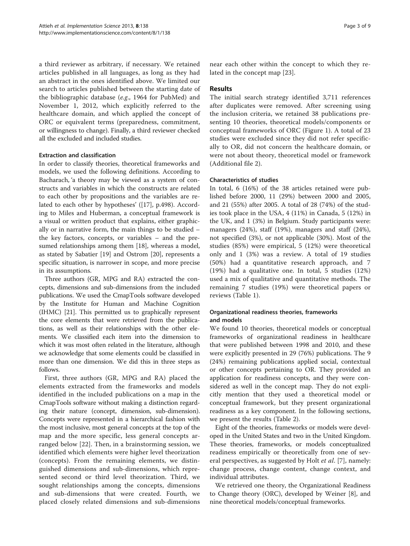a third reviewer as arbitrary, if necessary. We retained articles published in all languages, as long as they had an abstract in the ones identified above. We limited our search to articles published between the starting date of the bibliographic database (e.g., 1964 for PubMed) and November 1, 2012, which explicitly referred to the healthcare domain, and which applied the concept of ORC or equivalent terms (preparedness, commitment, or willingness to change). Finally, a third reviewer checked all the excluded and included studies.

# Extraction and classification

In order to classify theories, theoretical frameworks and models, we used the following definitions. According to Bacharach, 'a theory may be viewed as a system of constructs and variables in which the constructs are related to each other by propositions and the variables are related to each other by hypotheses' ([[17\]](#page-7-0), p.498). According to Miles and Huberman, a conceptual framework is a visual or written product that explains, either graphically or in narrative form, the main things to be studied – the key factors, concepts, or variables – and the presumed relationships among them [[18\]](#page-8-0), whereas a model, as stated by Sabatier [[19](#page-8-0)] and Ostrom [[20\]](#page-8-0), represents a specific situation, is narrower in scope, and more precise in its assumptions.

Three authors (GR, MPG and RA) extracted the concepts, dimensions and sub-dimensions from the included publications. We used the CmapTools software developed by the Institute for Human and Machine Cognition (IHMC) [\[21](#page-8-0)]. This permitted us to graphically represent the core elements that were retrieved from the publications, as well as their relationships with the other elements. We classified each item into the dimension to which it was most often related in the literature, although we acknowledge that some elements could be classified in more than one dimension. We did this in three steps as follows.

First, three authors (GR, MPG and RA) placed the elements extracted from the frameworks and models identified in the included publications on a map in the CmapTools software without making a distinction regarding their nature (concept, dimension, sub-dimension). Concepts were represented in a hierarchical fashion with the most inclusive, most general concepts at the top of the map and the more specific, less general concepts arranged below [[22\]](#page-8-0). Then, in a brainstorming session, we identified which elements were higher level theorization (concepts). From the remaining elements, we distinguished dimensions and sub-dimensions, which represented second or third level theorization. Third, we sought relationships among the concepts, dimensions and sub-dimensions that were created. Fourth, we placed closely related dimensions and sub-dimensions

near each other within the concept to which they related in the concept map [[23\]](#page-8-0).

# Results

The initial search strategy identified 3,711 references after duplicates were removed. After screening using the inclusion criteria, we retained 38 publications presenting 10 theories, theoretical models/components or conceptual frameworks of ORC (Figure [1](#page-3-0)). A total of 23 studies were excluded since they did not refer specifically to OR, did not concern the healthcare domain, or were not about theory, theoretical model or framework (Additional file [2](#page-7-0)).

# Characteristics of studies

In total, 6 (16%) of the 38 articles retained were published before 2000, 11 (29%) between 2000 and 2005, and 21 (55%) after 2005. A total of 28 (74%) of the studies took place in the USA, 4 (11%) in Canada, 5 (12%) in the UK, and 1 (3%) in Belgium. Study participants were: managers (24%), staff (19%), managers and staff (24%), not specified (3%), or not applicable (30%). Most of the studies (85%) were empirical, 5 (12%) were theoretical only and 1 (3%) was a review. A total of 19 studies (50%) had a quantitative research approach, and 7 (19%) had a qualitative one. In total, 5 studies (12%) used a mix of qualitative and quantitative methods. The remaining 7 studies (19%) were theoretical papers or reviews (Table [1\)](#page-4-0).

# Organizational readiness theories, frameworks and models

We found 10 theories, theoretical models or conceptual frameworks of organizational readiness in healthcare that were published between 1998 and 2010, and these were explicitly presented in 29 (76%) publications. The 9 (24%) remaining publications applied social, contextual or other concepts pertaining to OR. They provided an application for readiness concepts, and they were considered as well in the concept map. They do not explicitly mention that they used a theoretical model or conceptual framework, but they present organizational readiness as a key component. In the following sections, we present the results (Table [2\)](#page-4-0).

Eight of the theories, frameworks or models were developed in the United States and two in the United Kingdom. These theories, frameworks, or models conceptualized readiness empirically or theoretically from one of sev-eral perspectives, as suggested by Holt et al. [\[7](#page-7-0)], namely: change process, change content, change context, and individual attributes.

We retrieved one theory, the Organizational Readiness to Change theory (ORC), developed by Weiner [[8](#page-7-0)], and nine theoretical models/conceptual frameworks.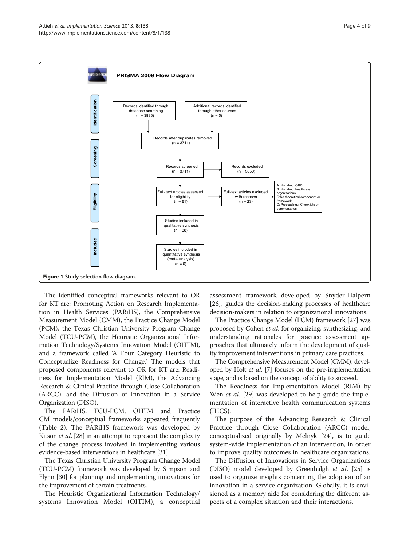<span id="page-3-0"></span>

The identified conceptual frameworks relevant to OR for KT are: Promoting Action on Research Implementation in Health Services (PARiHS), the Comprehensive Measurement Model (CMM), the Practice Change Model (PCM), the Texas Christian University Program Change Model (TCU-PCM), the Heuristic Organizational Information Technology/Systems Innovation Model (OITIM), and a framework called 'A Four Category Heuristic to Conceptualize Readiness for Change.' The models that proposed components relevant to OR for KT are: Readiness for Implementation Model (RIM), the Advancing Research & Clinical Practice through Close Collaboration (ARCC), and the Diffusion of Innovation in a Service Organization (DISO).

The PARiHS, TCU-PCM, OITIM and Practice CM models/conceptual frameworks appeared frequently (Table [2\)](#page-4-0). The PARiHS framework was developed by Kitson *et al.* [\[28\]](#page-8-0) in an attempt to represent the complexity of the change process involved in implementing various evidence-based interventions in healthcare [[31](#page-8-0)].

The Texas Christian University Program Change Model (TCU-PCM) framework was developed by Simpson and Flynn [\[30\]](#page-8-0) for planning and implementing innovations for the improvement of certain treatments.

The Heuristic Organizational Information Technology/ systems Innovation Model (OITIM), a conceptual assessment framework developed by Snyder-Halpern [[26\]](#page-8-0), guides the decision-making processes of healthcare decision-makers in relation to organizational innovations.

The Practice Change Model (PCM) framework [\[27\]](#page-8-0) was proposed by Cohen et al. for organizing, synthesizing, and understanding rationales for practice assessment approaches that ultimately inform the development of quality improvement interventions in primary care practices.

The Comprehensive Measurement Model (CMM), developed by Holt et al. [[7](#page-7-0)] focuses on the pre-implementation stage, and is based on the concept of ability to succeed.

The Readiness for Implementation Model (RIM) by Wen *et al.* [\[29](#page-8-0)] was developed to help guide the implementation of interactive health communication systems (IHCS).

The purpose of the Advancing Research & Clinical Practice through Close Collaboration (ARCC) model, conceptualized originally by Melnyk [[24](#page-8-0)], is to guide system-wide implementation of an intervention, in order to improve quality outcomes in healthcare organizations.

The Diffusion of Innovations in Service Organizations (DISO) model developed by Greenhalgh et al. [\[25\]](#page-8-0) is used to organize insights concerning the adoption of an innovation in a service organization. Globally, it is envisioned as a memory aide for considering the different aspects of a complex situation and their interactions.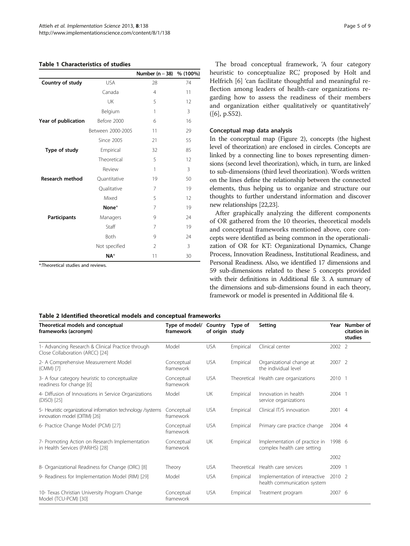#### <span id="page-4-0"></span>Table 1 Characteristics of studies

|                        |                   | Number (n = 38) % (100%) |    |  |
|------------------------|-------------------|--------------------------|----|--|
| Country of study       | <b>USA</b>        | 28                       | 74 |  |
|                        | Canada            | $\overline{4}$           | 11 |  |
|                        | UK                | 5                        | 12 |  |
|                        | Belgium           | 1                        | 3  |  |
| Year of publication    | Before 2000       | 6                        | 16 |  |
|                        | Between 2000-2005 | 11                       | 29 |  |
|                        | Since 2005        | 21                       | 55 |  |
| Type of study          | Empirical         | 32                       | 85 |  |
|                        | Theoretical       | 5                        | 12 |  |
|                        | Review            | 1                        | 3  |  |
| <b>Research method</b> | Quantitative      | 19                       | 50 |  |
|                        | Qualitative       | 7                        | 19 |  |
|                        | Mixed             | 5                        | 12 |  |
|                        | None*             | 7                        | 19 |  |
| <b>Participants</b>    | Managers          | 9                        | 24 |  |
|                        | Staff             | 7                        | 19 |  |
|                        | Both              | 9                        | 24 |  |
|                        | Not specified     | $\overline{2}$           | 3  |  |
|                        | $NA^*$            | 11                       | 30 |  |

\*:Theoretical studies and reviews.

The broad conceptual framework, 'A four category heuristic to conceptualize RC', proposed by Holt and Helfrich [[6\]](#page-7-0) 'can facilitate thoughtful and meaningful reflection among leaders of health-care organizations regarding how to assess the readiness of their members and organization either qualitatively or quantitatively' ([\[6\]](#page-7-0), p.S52).

#### Conceptual map data analysis

In the conceptual map (Figure [2](#page-5-0)), concepts (the highest level of theorization) are enclosed in circles. Concepts are linked by a connecting line to boxes representing dimensions (second level theorization), which, in turn, are linked to sub-dimensions (third level theorization). Words written on the lines define the relationship between the connected elements, thus helping us to organize and structure our thoughts to further understand information and discover new relationships [\[22,23](#page-8-0)].

After graphically analyzing the different components of OR gathered from the 10 theories, theoretical models and conceptual frameworks mentioned above, core concepts were identified as being common in the operationalization of OR for KT: Organizational Dynamics, Change Process, Innovation Readiness, Institutional Readiness, and Personal Readiness. Also, we identified 17 dimensions and 59 sub-dimensions related to these 5 concepts provided with their definitions in Additional file [3.](#page-7-0) A summary of the dimensions and sub-dimensions found in each theory, framework or model is presented in Additional file [4](#page-7-0).

#### Table 2 Identified theoretical models and conceptual frameworks

| Theoretical models and conceptual<br>frameworks (acronym)                                    | Type of model/<br>framework | Country<br>of origin study | Type of   | Setting                                                      |        | Year Number of<br>citation in<br>studies |
|----------------------------------------------------------------------------------------------|-----------------------------|----------------------------|-----------|--------------------------------------------------------------|--------|------------------------------------------|
| 1- Advancing Research & Clinical Practice through<br>Close Collaboration (ARCC) [24]         | Model                       | <b>USA</b>                 | Empirical | Clinical center                                              | 2002 2 |                                          |
| 2- A Comprehensive Measurement Model<br>(CMM) [7]                                            | Conceptual<br>framework     | <b>USA</b>                 | Empirical | Organizational change at<br>the individual level             | 2007 2 |                                          |
| 3- A four category heuristic to conceptualize<br>readiness for change [6]                    | Conceptual<br>framework     | <b>USA</b>                 |           | Theoretical Health care organizations                        | 2010 1 |                                          |
| 4- Diffusion of Innovations in Service Organizations<br>(DISO) [25]                          | Model                       | UK                         | Empirical | Innovation in health<br>service organizations                | 2004 1 |                                          |
| 5- Heuristic organizational information technology /systems<br>innovation model (OITIM) [26] | Conceptual<br>framework     | <b>USA</b>                 | Empirical | Clinical IT/S innovation                                     | 2001 4 |                                          |
| 6- Practice Change Model (PCM) [27]                                                          | Conceptual<br>framework     | <b>USA</b>                 | Empirical | Primary care practice change                                 | 2004 4 |                                          |
| 7- Promoting Action on Research Implementation<br>in Health Services (PARiHS) [28]           | Conceptual<br>framework     | <b>UK</b>                  | Empirical | Implementation of practice in<br>complex health care setting | 1998 6 |                                          |
|                                                                                              |                             |                            |           |                                                              | 2002   |                                          |
| 8- Organizational Readiness for Change (ORC) [8]                                             | Theory                      | <b>USA</b>                 |           | Theoretical Health care services                             | 2009   |                                          |
| 9- Readiness for Implementation Model (RIM) [29]                                             | Model                       | <b>USA</b>                 | Empirical | Implementation of interactive<br>health communication system | 2010 2 |                                          |
| 10- Texas Christian University Program Change<br>Model (TCU-PCM) [30]                        | Conceptual<br>framework     | <b>USA</b>                 | Empirical | Treatment program                                            | 2007 6 |                                          |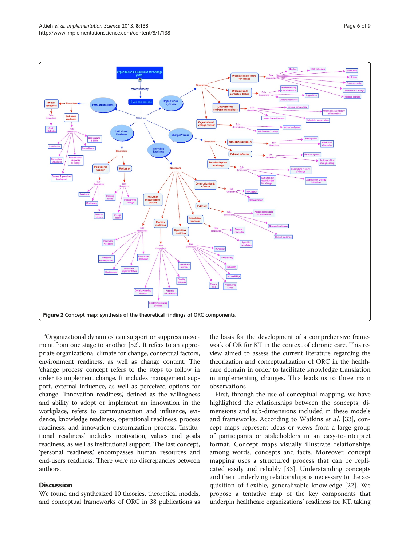<span id="page-5-0"></span>

'Organizational dynamics' can support or suppress movement from one stage to another [[32](#page-8-0)]. It refers to an appropriate organizational climate for change, contextual factors, environment readiness, as well as change content. The 'change process' concept refers to the steps to follow in order to implement change. It includes management support, external influence, as well as perceived options for change. 'Innovation readiness,' defined as the willingness and ability to adopt or implement an innovation in the workplace, refers to communication and influence, evidence, knowledge readiness, operational readiness, process readiness, and innovation customization process. 'Institutional readiness' includes motivation, values and goals readiness, as well as institutional support. The last concept, 'personal readiness,' encompasses human resources and end-users readiness. There were no discrepancies between authors.

# **Discussion**

We found and synthesized 10 theories, theoretical models, and conceptual frameworks of ORC in 38 publications as

the basis for the development of a comprehensive framework of OR for KT in the context of chronic care. This review aimed to assess the current literature regarding the theorization and conceptualization of ORC in the healthcare domain in order to facilitate knowledge translation in implementing changes. This leads us to three main observations.

First, through the use of conceptual mapping, we have highlighted the relationships between the concepts, dimensions and sub-dimensions included in these models and frameworks. According to Watkins et al. [\[33](#page-8-0)], concept maps represent ideas or views from a large group of participants or stakeholders in an easy-to-interpret format. Concept maps visually illustrate relationships among words, concepts and facts. Moreover, concept mapping uses a structured process that can be replicated easily and reliably [[33\]](#page-8-0). Understanding concepts and their underlying relationships is necessary to the acquisition of flexible, generalizable knowledge [[22\]](#page-8-0). We propose a tentative map of the key components that underpin healthcare organizations' readiness for KT, taking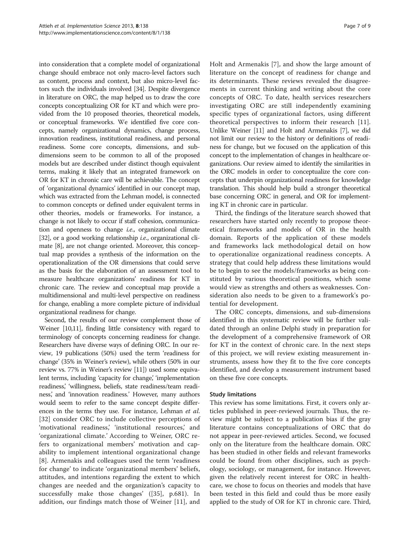into consideration that a complete model of organizational change should embrace not only macro-level factors such as content, process and context, but also micro-level factors such the individuals involved [\[34\]](#page-8-0). Despite divergence in literature on ORC, the map helped us to draw the core concepts conceptualizing OR for KT and which were provided from the 10 proposed theories, theoretical models, or conceptual frameworks. We identified five core concepts, namely organizational dynamics, change process, innovation readiness, institutional readiness, and personal readiness. Some core concepts, dimensions, and subdimensions seem to be common to all of the proposed models but are described under distinct though equivalent terms, making it likely that an integrated framework on OR for KT in chronic care will be achievable. The concept of 'organizational dynamics' identified in our concept map, which was extracted from the Lehman model, is connected to common concepts or defined under equivalent terms in other theories, models or frameworks. For instance, a change is not likely to occur if staff cohesion, communication and openness to change i.e., organizational climate [[32](#page-8-0)], or a good working relationship *i.e.*, organizational climate [[8](#page-7-0)], are not change oriented. Moreover, this conceptual map provides a synthesis of the information on the operationalization of the OR dimensions that could serve as the basis for the elaboration of an assessment tool to measure healthcare organizations' readiness for KT in chronic care. The review and conceptual map provide a multidimensional and multi-level perspective on readiness for change, enabling a more complete picture of individual organizational readiness for change.

Second, the results of our review complement those of Weiner [\[10,11](#page-7-0)], finding little consistency with regard to terminology of concepts concerning readiness for change. Researchers have diverse ways of defining ORC. In our review, 19 publications (50%) used the term 'readiness for change' (35% in Weiner's review), while others (50% in our review vs. 77% in Weiner's review [[11](#page-7-0)]) used some equivalent terms, including 'capacity for change', 'implementation readiness,' 'willingness, beliefs, state readiness/team readiness,' and 'innovation readiness.' However, many authors would seem to refer to the same concept despite differences in the terms they use. For instance, Lehman et al. [[32\]](#page-8-0) consider ORC to include collective perceptions of 'motivational readiness,' 'institutional resources,' and 'organizational climate.' According to Weiner, ORC refers to organizational members' motivation and capability to implement intentional organizational change [[8\]](#page-7-0). Armenakis and colleagues used the term 'readiness for change' to indicate 'organizational members' beliefs, attitudes, and intentions regarding the extent to which changes are needed and the organization's capacity to successfully make those changes' ([[35\]](#page-8-0), p.681). In addition, our findings match those of Weiner [\[11](#page-7-0)], and Holt and Armenakis [\[7](#page-7-0)], and show the large amount of literature on the concept of readiness for change and its determinants. These reviews revealed the disagreements in current thinking and writing about the core concepts of ORC. To date, health services researchers investigating ORC are still independently examining specific types of organizational factors, using different theoretical perspectives to inform their research [\[11](#page-7-0)]. Unlike Weiner [\[11\]](#page-7-0) and Holt and Armenakis [\[7\]](#page-7-0), we did not limit our review to the history or definitions of readiness for change, but we focused on the application of this concept to the implementation of changes in healthcare organizations. Our review aimed to identify the similarities in the ORC models in order to conceptualize the core concepts that underpin organizational readiness for knowledge translation. This should help build a stronger theoretical base concerning ORC in general, and OR for implementing KT in chronic care in particular.

Third, the findings of the literature search showed that researchers have started only recently to propose theoretical frameworks and models of OR in the health domain. Reports of the application of these models and frameworks lack methodological detail on how to operationalize organizational readiness concepts. A strategy that could help address these limitations would be to begin to see the models/frameworks as being constituted by various theoretical positions, which some would view as strengths and others as weaknesses. Consideration also needs to be given to a framework's potential for development.

The ORC concepts, dimensions, and sub-dimensions identified in this systematic review will be further validated through an online Delphi study in preparation for the development of a comprehensive framework of OR for KT in the context of chronic care. In the next steps of this project, we will review existing measurement instruments, assess how they fit to the five core concepts identified, and develop a measurement instrument based on these five core concepts.

#### Study limitations

This review has some limitations. First, it covers only articles published in peer-reviewed journals. Thus, the review might be subject to a publication bias if the gray literature contains conceptualizations of ORC that do not appear in peer-reviewed articles. Second, we focused only on the literature from the healthcare domain. ORC has been studied in other fields and relevant frameworks could be found from other disciplines, such as psychology, sociology, or management, for instance. However, given the relatively recent interest for ORC in healthcare, we chose to focus on theories and models that have been tested in this field and could thus be more easily applied to the study of OR for KT in chronic care. Third,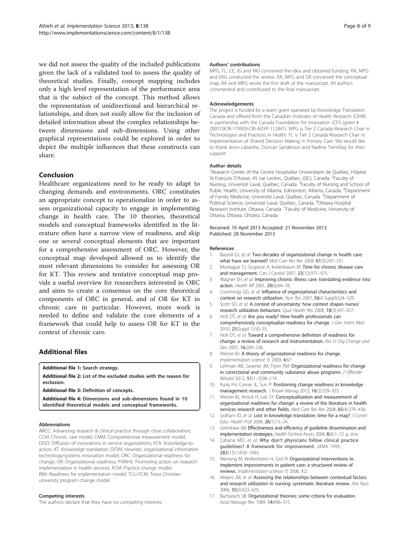<span id="page-7-0"></span>we did not assess the quality of the included publications given the lack of a validated tool to assess the quality of theoretical studies. Finally, concept mapping includes only a high level representation of the performance area that is the subject of the concept. This method allows the representation of unidirectional and hierarchical relationships, and does not easily allow for the inclusion of detailed information about the complex relationships between dimensions and sub-dimensions. Using other graphical representations could be explored in order to depict the multiple influences that these constructs can share.

# Conclusion

Healthcare organizations need to be ready to adapt to changing demands and environments. ORC constitutes an appropriate concept to operationalize in order to assess organizational capacity to engage in implementing change in health care. The 10 theories, theoretical models and conceptual frameworks identified in the literature often have a narrow view of readiness, and skip one or several conceptual elements that are important for a comprehensive assessment of ORC. However, the conceptual map developed allowed us to identify the most relevant dimensions to consider for assessing OR for KT. This review and tentative conceptual map provide a useful overview for researchers interested in ORC and aims to create a consensus on the core theoretical components of ORC in general, and of OR for KT in chronic care in particular. However, more work is needed to define and validate the core elements of a framework that could help to assess OR for KT in the context of chronic care.

# Additional files

[Additional file 1:](http://www.biomedcentral.com/content/supplementary/1748-5908-8-138-S1.pdf) Search strategy.

[Additional file 2:](http://www.biomedcentral.com/content/supplementary/1748-5908-8-138-S2.pdf) List of the excluded studies with the reason for exclusion.

[Additional file 3:](http://www.biomedcentral.com/content/supplementary/1748-5908-8-138-S3.pdf) Definition of concepts.

[Additional file 4:](http://www.biomedcentral.com/content/supplementary/1748-5908-8-138-S4.pdf) Dimensions and sub-dimensions found in 10 identified theoretical models and conceptual frameworks.

#### Abbreviations

ARCC: Advancing research & clinical practice through close collaboration; CCM: Chronic care model; CMM: Comprehensive measurement model; DISO: Diffusion of innovations in service organizations; KTA: Knowledge-toaction; KT: Knowledge translation; OITIM: Heuristic organizational information technology/systems innovation model; ORC: Organizational readiness for change; OR: Organizational readiness; PARiHS: Promoting action on research implementation in health services; PCM: Practice change model; RIM: Readiness for implementation model; TCU-PCM: Texas Christian university program change model.

#### Competing interests

The authors declare that they have no competing interests.

#### Authors' contributions

MPG, FL, CE, JG and MO conceived the idea and obtained funding. RA, MPG and EKG conducted the review. RA, MPG and GR conceived the conceptual map. RA and MPG wrote the first draft of the manuscript. All authors commented and contributed to the final manuscript.

#### Acknowledgements

The project is funded by a team grant operated by Knowledge Translation Canada and offered from the Canadian Institutes of Health Research (CIHR) in partnership with the Canada Foundation for Innovation (CFI) (grant # 200710CRI-179929-CRI-ADYP-112841). MPG is Tier 2 Canada Research Chair in Technologies and Practices in Health. FL is Tier 2 Canada Research Chair in Implementation of Shared Decision Making in Primary Care. We would like to thank Jenni Labarthe, Duncan Sanderson and Nadine Tremblay for their support.

#### Author details

<sup>1</sup> Research Center of the Centre Hospitalier Universitaire de Québec, Hôpital St-François D'Assise, 45 rue Leclerc, Québec, (QC), Canada. <sup>2</sup>Faculty of Nursing, Université Laval, Québec, Canada. <sup>3</sup>Faculty of Nursing and School of Public Health, University of Alberta, Edmonton, Alberta, Canada. <sup>4</sup>Department of Family Medicine, Université Laval, Québec, Canada. <sup>5</sup>Department of Political Science, Université Laval, Québec, Canada. <sup>6</sup>Ottawa Hospital Research Institute, Ottawa, Canada. <sup>7</sup> Faculty of Medicine, University of Ottawa, Ottawa, Ontario, Canada.

Received: 10 April 2013 Accepted: 21 November 2013 Published: 28 November 2013

#### References

- 1. Bazzoli GJ, et al: Two decades of organizational change in health care: what have we learned? Med Care Res Rev 2004, 61(3):247–331.
- 2. Montague TJ, Gogovor A, Krelenbaum M: Time for chronic disease care and management. Can J Cardiol 2007, 23(12):971–975.
- 3. Wagner EH, et al: Improving chronic illness care: translating evidence into action. Health Aff 2001, 20(6):64–78.
- 4. Cummings GG, et al: Influence of organizational characteristics and context on research utilization. Nurs Res 2007, 56(4 Suppl):S24–S39.
- 5. Scott SD, et al: A context of uncertainty: how context shapes nurses' research utilization behaviors. Qual Health Res 2008, 18(3):347–357.
- Holt DT, et al: Are you ready? How health professionals can comprehensively conceptualize readiness for change. J Gen Intern Med 2010, 25(Suppl 1):50–55.
- 7. Holt DT, et al: Toward a comprehensive definition of readiness for change: a review of research and instrumentation. Res in Org Change and Dev 2007, 16:289–336.
- 8. Weiner BJ: A theory of organizational readiness for change. Implementation science: IS 2009, 4:67.
- 9. Lehman WE, Greener JM, Flynn PM: Organizational readiness for change in correctional and community substance abuse programs. J Offender Rehabil 2012, 51(1–2):96–114.
- 10. Rusly FH, Corner JL, Sun P: Positioning change readiness in knowledge management research. J Knowl Manag 2012, 16(2):329-355.
- 11. Weiner BJ, Amick H, Lee SY: Conceptualization and measurement of organizational readiness for change: a review of the literature in health services research and other fields. Med Care Res Rev 2008, 65(4):379–436.
- 12. Graham ID, et al: Lost in knowledge translation: time for a map? J Contin Educ Health Prof 2006, 26(1):13–24.
- 13. Grimshaw JM: Effectiveness and efficiency of guideline dissemination and implementation strategies. Health Technol Assess 2004, 8(6):1-72. p. iii-iv.
- 14. Cabana MD, et al: Why don't physicians follow clinical practice guidelines? A framework for improvement. JAMA 1999, 282(15):1458–1465.
- 15. Wensing M, Wollersheim H, Grol R: Organizational interventions to implement improvements in patient care: a structured review of reviews. Implementation science: IS 2006, 1:2.
- 16. Meijers JM, et al: Assessing the relationships between contextual factors and research utilization in nursing: systematic literature review. Adv Nurs 2006, 55(5):622–635.
- 17. Bacharach SB: Organizational theories: some criteria for evaluation. Acad Manage Rev 1989, 14:496–515.